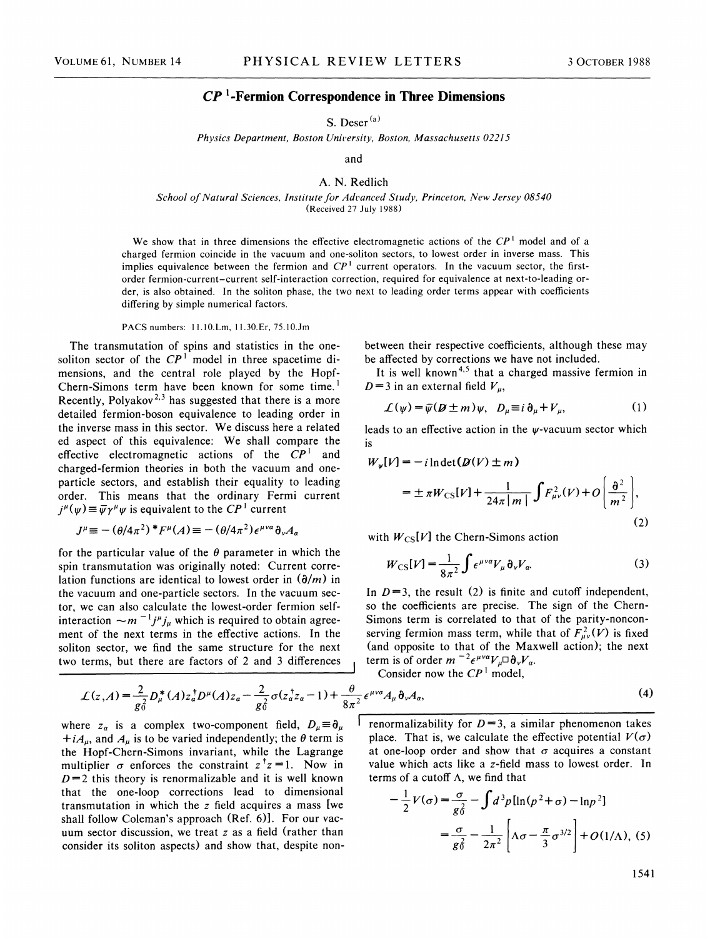## CP '-Fermion Correspondence in Three Dimensions

S. Deser<sup>(a)</sup>

Physics Department, Boston University, Boston, Massachusetts 02215

and

## A. N. Redlich

School of Natural Sciences, Institute for Advanced Study, Princeton, New Jersey 08540 (Received 27 July 1988)

We show that in three dimensions the effective electromagnetic actions of the  $\mathbb{CP}^1$  model and of a charged fermion coincide in the vacuum and one-soliton sectors, to lowest order in inverse mass. This implies equivalence between the fermion and  $\mathbb{CP}^1$  current operators. In the vacuum sector, the firstorder fermion-current-current self-interaction correction, required for equivalence at next-to-leading order, is also obtained. In the soliton phase, the two next to leading order terms appear with coefficients differing by simple numerical factors.

## PACS numbers: 11.10.Lm, 11.30.Er, 75.10.Jm

The transmutation of spins and statistics in the onesoliton sector of the  $\mathbb{CP}^1$  model in three spacetime dimensions, and the central role played by the Hopf-Chern-Simons term have been known for some time. ' Recently, Polyakov<sup>2,3</sup> has suggested that there is a more detailed fermion-boson equivalence to leading order in the inverse mass in this sector. We discuss here a related ed aspect of this equivalence: We shall compare the effective electromagnetic actions of the  $\mathbb{CP}^1$  and charged-fermion theories in both the vacuum and oneparticle sectors, and establish their equality to leading order. This means that the ordinary Fermi current  $j^{\mu}(\psi) \equiv \bar{\psi} \gamma^{\mu} \psi$  is equivalent to the  $CP^1$  current

$$
J^{\mu} \equiv -(\theta/4\pi^2)^* F^{\mu}(A) \equiv -(\theta/4\pi^2) \epsilon^{\mu\nu a} \partial_{\nu} A_a
$$

for the particular value of the  $\theta$  parameter in which the spin transmutation was originally noted: Current correlation functions are identical to lowest order in  $(\partial/m)$  in the vacuum and one-particle sectors. In the vacuum sector, we can also calculate the lowest-order fermion selfinteraction  $\sim m^{-1} j^{\mu} j_{\mu}$  which is required to obtain agreement of the next terms in the effective actions. In the soliton sector, we find the same structure for the next two terms, but there are factors of 2 and 3 differences

 $\mathcal{L}(z,A) = \frac{2}{\sigma^2} D_{\mu}^{*}(A) z_{a}^{\dagger} D^{\mu}(A) z_{a} - \frac{2}{\sigma^2}$ 

 $+iA_{\mu}$ , and  $A_{\mu}$  is to be varied independently; the  $\theta$  term is the Hopf-Chem-Simons invariant, while the Lagrange multiplier  $\sigma$  enforces the constraint  $z^{\dagger}z=1$ . Now in  $D=2$  this theory is renormalizable and it is well known that the one-loop corrections lead to dimensional transmutation in which the z field acquires a mass [we shall follow Coleman's approach (Ref. 6)]. For our vacuum sector discussion, we treat  $z$  as a field (rather than consider its soliton aspects) and show that, despite non-

between their respective coefficients, although these may be affected by corrections we have not included.

It is well known<sup>4,5</sup> that a charged massive fermion in  $D = 3$  in an external field  $V_{\mu}$ ,

$$
\mathcal{L}(\psi) = \overline{\psi}(\mathcal{B} \pm m)\psi, \quad D_{\mu} \equiv i \,\partial_{\mu} + V_{\mu}, \tag{1}
$$

leads to an effective action in the  $\psi$ -vacuum sector which 1s

$$
W_{\psi}[V] = -i \ln \det(D(V) \pm m)
$$
  
=  $\pm \pi W_{\text{CS}}[V] + \frac{1}{24\pi |m|} \int F_{\mu\nu}^2(V) + O\left(\frac{\partial^2}{m^2}\right),$  (2)

with  $W_{CS}[V]$  the Chern-Simons action

$$
W_{\text{CS}}[V] = \frac{1}{8\pi^2} \int \epsilon^{\mu\nu a} V_{\mu} \,\partial_{\nu} V_{a}.\tag{3}
$$

In  $D=3$ , the result (2) is finite and cutoff independent, so the coefficients are precise. The sign of the Chern-Simons term is correlated to that of the parity-nonconserving fermion mass term, while that of  $F_{uv}^2(V)$  is fixed (and opposite to that of the Maxwell action); the next term is of order  $m^{-2} \epsilon^{\mu\nu\alpha} V_{\mu} \Box \partial_{\nu} V_{\alpha}$ .

Consider now the  $\mathbb{CP}^1$  model,

$$
\mathcal{L}(z,A) = \frac{2}{g_0^2} D_{\mu}^*(A) z_a^{\dagger} D^{\mu}(A) z_a - \frac{2}{g_0^2} \sigma(z_a^{\dagger} z_a - 1) + \frac{\theta}{8\pi^2} \epsilon^{\mu\nu a} A_{\mu} \partial_{\nu} A_a,
$$
\n(4)  
\nwhere  $z_a$  is a complex two-component field,  $D_{\mu} \equiv \partial_{\mu}$  [renormalizability for  $D = 3$ , a similar phenomenon takes

renormalizability for  $D=3$ , a similar phenomenon takes place. That is, we calculate the effective potential  $V(\sigma)$ at one-loop order and show that  $\sigma$  acquires a constant value which acts like a z-field mass to lowest order. In terms of a cutoff  $\Lambda$ , we find that

$$
-\frac{1}{2}V(\sigma) = \frac{\sigma}{g_0^2} - \int d^3p [\ln(p^2 + \sigma) - \ln p^2]
$$

$$
= \frac{\sigma}{g_0^2} - \frac{1}{2\pi^2} \left[ \Lambda \sigma - \frac{\pi}{3} \sigma^{3/2} \right] + O(1/\Lambda), (5)
$$

1541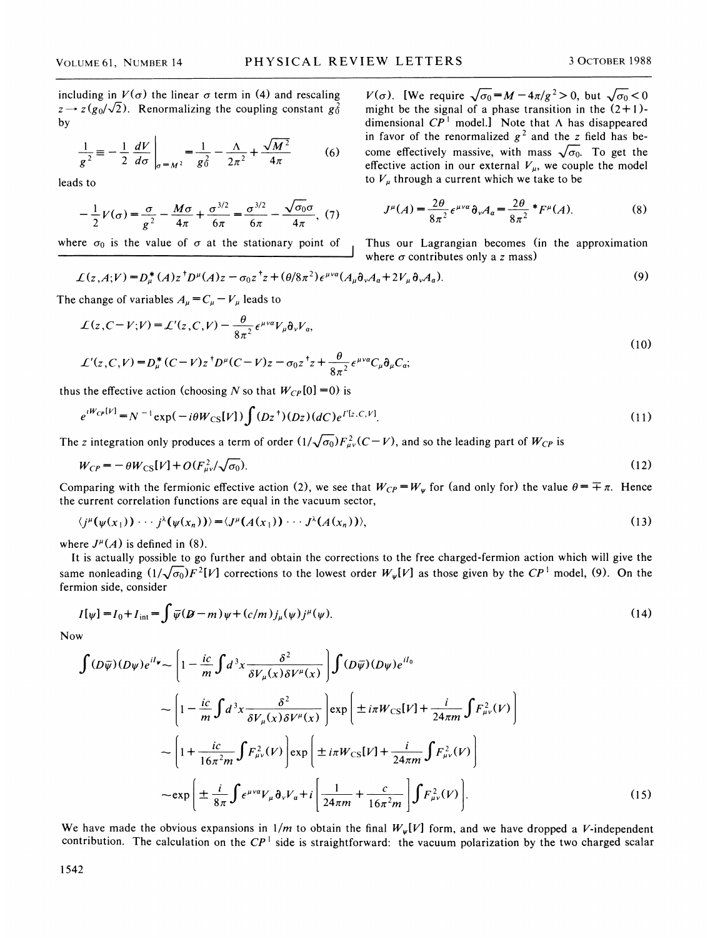including in  $V(\sigma)$  the linear  $\sigma$  term in (4) and rescaling  $z \rightarrow z(g_0/\sqrt{2})$ . Renormalizing the coupling constant  $g_0^2$ by

$$
\frac{1}{g^2} \equiv -\frac{1}{2} \frac{dV}{d\sigma} \bigg|_{\sigma = M^2} = \frac{1}{g_0^2} - \frac{\Lambda}{2\pi^2} + \frac{\sqrt{M^2}}{4\pi} \tag{6}
$$

leads to

$$
-\frac{1}{2}V(\sigma) = \frac{\sigma}{g^2} - \frac{M\sigma}{4\pi} + \frac{\sigma^{3/2}}{6\pi} = \frac{\sigma^{3/2}}{6\pi} - \frac{\sqrt{\sigma_0}\sigma}{4\pi}, (7)
$$

where  $\sigma_0$  is the value of  $\sigma$  at the stationary point of Thus our Lagrangian becomes (in the approximation

 $V(\sigma)$ . [We require  $\sqrt{\sigma_0} = M - 4\pi/g^2 > 0$ , but  $\sqrt{\sigma_0} < 0$ might be the signal of a phase transition in the  $(2+1)$ dimensional  $\overline{CP}^1$  model. Note that  $\Lambda$  has disappeared in favor of the renormalized  $g^2$  and the z field has become effectively massive, with mass  $\sqrt{\sigma_0}$ . To get the effective action in our external  $V_{\mu}$ , we couple the model to  $V_{\mu}$  through a current which we take to be

$$
J^{\mu}(A) = \frac{2\theta}{8\pi^2} \epsilon^{\mu\nu\alpha} \partial_{\nu} A_{\alpha} = \frac{2\theta}{8\pi^2} * F^{\mu}(A). \tag{8}
$$

where  $\sigma$  contributes only a z mass)

$$
\mathcal{L}(z,A;V) = D_{\mu}^{*}(A)z^{\dagger}D^{\mu}(A)z - \sigma_{0}z^{\dagger}z + (\theta/8\pi^{2})\epsilon^{\mu\nu a}(A_{\mu}\partial_{\nu}A_{a} + 2V_{\mu}\partial_{\nu}A_{a}).
$$
\n(9)

The change of variables 
$$
A_{\mu} = C_{\mu} - V_{\mu}
$$
 leads to  
\n
$$
\mathcal{L}(z, C - V; V) = \mathcal{L}'(z, C, V) - \frac{\theta}{8\pi^2} \epsilon^{\mu \nu a} V_{\mu} \partial_{\nu} V_{a},
$$
\n(10)

$$
\mathcal{L}'(z,C,V) = D_{\mu}^{*}(C-V)z^{\dagger}D^{\mu}(C-V)z - \sigma_{0}z^{\dagger}z + \frac{\theta}{8\pi^{2}}\epsilon^{\mu\nu\alpha}C_{\mu}\partial_{\mu}C_{\alpha};
$$

thus the effective action (choosing N so that  $W_{CP}[0]=0$ ) is

$$
e^{iW_{CP}[V]} = N^{-1} \exp(-i\theta W_{CS}[V]) \int (Dz^+)(Dz)(dC)e^{I'[z,C,V]}.
$$
\n(11)

The z integration only produces a term of order  $(1/\sqrt{\sigma_0})F_{\mu\nu}^2(C-V)$ , and so the leading part of  $W_{CP}$  is

$$
W_{CP} = -\theta W_{CS}[V] + O(F_{\mu\nu}^2/\sqrt{\sigma_0}).
$$
\n(12)

Comparing with the fermionic effective action (2), we see that  $W_{CP} = W_{\psi}$  for (and only for) the value  $\theta = \pm \pi$ . Hence the current correlation functions are equal in the vacuum sector,

$$
\langle j^{\mu}(\psi(x_1))\cdots j^{\lambda}(\psi(x_n))\rangle = \langle J^{\mu}(A(x_1))\cdots J^{\lambda}(A(x_n))\rangle,
$$
\n(13)

where  $J^{\mu}(A)$  is defined in (8).

It is actually possible to go further and obtain the corrections to the free charged-fermion action which will give the same nonleading  $(1/\sqrt{\sigma_0})F^2[V]$  corrections to the lowest order  $W_{\psi}[V]$  as those given by the  $\mathbb{CP}^1$  model, (9). On the fermion side, consider

$$
I[\psi] = I_0 + I_{\text{int}} = \int \overline{\psi}(\mathcal{D} - m)\psi + (c/m)j_{\mu}(\psi)j^{\mu}(\psi).
$$
 (14)

Now

$$
\int (D\overline{\psi})(D\psi)e^{il\psi} \sim \left[1 - \frac{ic}{m}\int d^3x \frac{\delta^2}{\delta V_\mu(x)\delta V^\mu(x)}\right] \int (D\overline{\psi})(D\psi)e^{il_0}
$$
  

$$
\sim \left[1 - \frac{ic}{m}\int d^3x \frac{\delta^2}{\delta V_\mu(x)\delta V^\mu(x)}\right] \exp\left[\pm i\pi W_{CS}[V] + \frac{i}{24\pi m}\int F_{\mu\nu}^2(V)\right]
$$
  

$$
\sim \left[1 + \frac{ic}{16\pi^2 m}\int F_{\mu\nu}^2(V)\right] \exp\left[\pm i\pi W_{CS}[V] + \frac{i}{24\pi m}\int F_{\mu\nu}^2(V)\right]
$$
  

$$
\sim \exp\left[\pm \frac{i}{8\pi}\int \epsilon^{\mu\nu\alpha}V_\mu \partial_\nu V_\alpha + i\left[\frac{1}{24\pi m} + \frac{c}{16\pi^2 m}\right]\int F_{\mu\nu}^2(V)\right].
$$
 (15)

We have made the obvious expansions in  $1/m$  to obtain the final  $W_{\psi}[V]$  form, and we have dropped a V-independent contribution. The calculation on the  $\mathbb{CP}^1$  side is straightforward: the vacuum polarization by the two charged scalar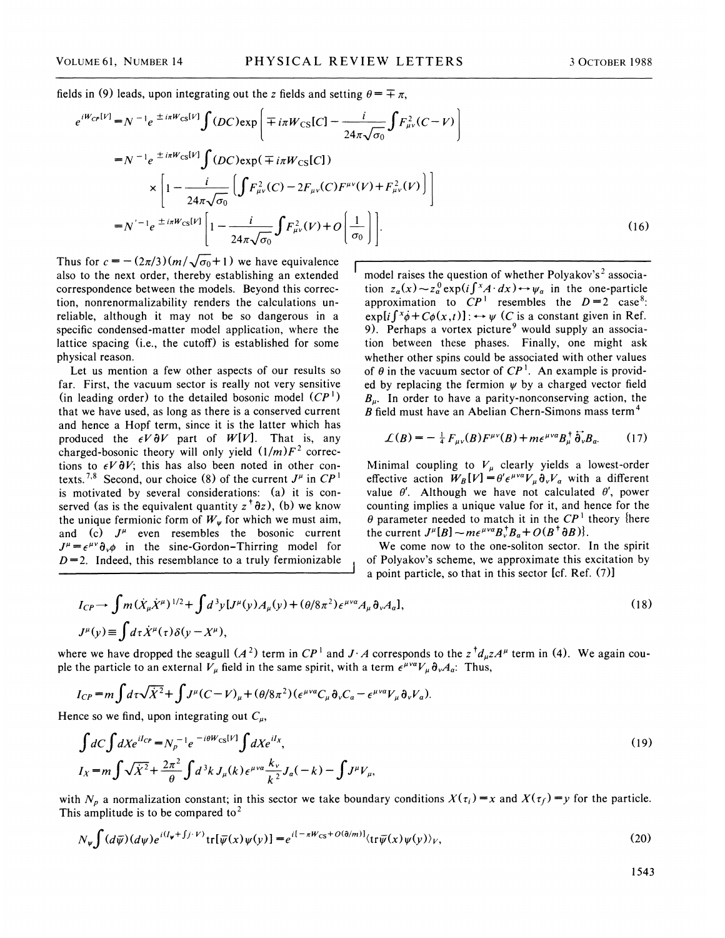fields in (9) leads, upon integrating out the z fields and setting  $\theta = \pm \pi$ ,

$$
e^{iW_{CP}[V]} = N^{-1}e^{\pm i\pi W_{CS}[V]} \int (DC) \exp\left(\mp i\pi W_{CS}[C] - \frac{i}{24\pi\sqrt{\sigma_0}} \int F_{\mu\nu}^2 (C-V)\right)
$$
  
\n
$$
= N^{-1}e^{\pm i\pi W_{CS}[V]} \int (DC) \exp(\mp i\pi W_{CS}[C])
$$
  
\n
$$
\times \left[1 - \frac{i}{24\pi\sqrt{\sigma_0}} \left(\int F_{\mu\nu}^2 (C) - 2F_{\mu\nu}(C)F^{\mu\nu}(V) + F_{\mu\nu}^2 (V)\right)\right]
$$
  
\n
$$
= N^{-1}e^{\pm i\pi W_{CS}[V]} \left[1 - \frac{i}{24\pi\sqrt{\sigma_0}} \int F_{\mu\nu}^2 (V) + O\left(\frac{1}{\sigma_0}\right)\right].
$$
 (16)

Thus for  $c = -\frac{2\pi}{3}(m/\sqrt{\sigma_0}+1)$  we have equivalence also to the next order, thereby establishing an extended correspondence between the models. Beyond this correction, nonrenormalizability renders the calculations unreliable, although it may not be so dangerous in a specific condensed-matter model application, where the lattice spacing (i.e., the cutoff) is established for some physical reason.

Let us mention a few other aspects of our results so far. First, the vacuum sector is really not very sensitive (in leading order) to the detailed bosonic model  $(CP<sup>1</sup>)$ that we have used, as long as there is a conserved current and hence a Hopf term, since it is the latter which has produced the  $\epsilon V \partial V$  part of  $W[V]$ . That is, any charged-bosonic theory will only yield  $(1/m)F^2$  corrections to  $\epsilon V \partial V$ ; this has also been noted in other contexts.<sup>7,8</sup> Second, our choice (8) of the current  $J^{\mu}$  in  $\mathbb{CP}^1$ is motivated by several considerations: (a) it is conserved (as is the equivalent quantity  $z^{\dagger} \partial z$ ), (b) we know the unique fermionic form of  $W_{\psi}$  for which we must aim, and (c)  $J^{\mu}$  even resembles the bosonic current  $J^{\mu} = \epsilon^{\mu\nu} \partial_{\nu} \phi$  in the sine-Gordon-Thirring model for  $D=2$ . Indeed, this resemblance to a truly fermionizable

model raises the question of whether Polyakov's<sup>2</sup> association  $z_a(x) \sim z_a^0 \exp(i \int x \cdot dx) \leftrightarrow \psi_a$  in the one-particle approximation to  $CP<sup>1</sup>$  resembles the  $D=2$  case<sup>8</sup>:  $\exp[i \int x \phi + C\phi(x, t)]$ :  $\leftrightarrow \psi$  (*C* is a constant given in Ref. 9). Perhaps a vortex picture<sup>9</sup> would supply an association between these phases. Finally, one might ask whether other spins could be associated with other values of  $\theta$  in the vacuum sector of  $\mathbb{CP}^1$ . An example is provided by replacing the fermion  $\psi$  by a charged vector field  $B_{\mu}$ . In order to have a parity-nonconserving action, the  $B$  field must have an Abelian Chern-Simons mass term<sup>4</sup>

$$
\mathcal{L}(B) = -\frac{1}{4} F_{\mu\nu}(B) F^{\mu\nu}(B) + m\epsilon^{\mu\nu a} B_{\mu}^{\dagger} \dot{\delta}_{\nu} B_{a}.
$$
 (17)

Minimal coupling to  $V_{\mu}$  clearly yields a lowest-order effective action  $W_B[V] = \theta' \epsilon^{\mu \nu \alpha} V_{\mu} \partial_{\nu} V_{\alpha}$  with a different value  $\theta'$ . Although we have not calculated  $\theta'$ , power counting implies a unique value for it, and hence for the  $\theta$  parameter needed to match it in the  $\mathbb{CP}^1$  theory {here the current  $J^{\mu}[B] \sim m \epsilon^{\mu\nu a} B_{\nu}^{\dagger} B_{a} + O(B^{\dagger} \partial B)$ .

We come now to the one-soliton sector. In the spirit of Polyakov's scheme, we approximate this excitation by a point particle, so that in this sector [cf. Ref. (7)]

$$
I_{CP} \to \int m(\dot{X}_{\mu}\dot{X}^{\mu})^{1/2} + \int d^3y [J^{\mu}(y)A_{\mu}(y) + (\theta/8\pi^2)\epsilon^{\mu\nu\alpha}A_{\mu}\partial_{\nu}A_{\alpha}],
$$
\n
$$
J^{\mu}(y) \equiv \int d\tau \dot{X}^{\mu}(\tau)\delta(y - X^{\mu}),
$$
\n(18)

where we have dropped the seagull  $(A^2)$  term in  $\mathbb{CP}^1$  and  $J \cdot A$  corresponds to the  $z^{\dagger}d_{\mu}zA^{\mu}$  term in (4). We again couple the particle to an external  $V_{\mu}$  field in the same spirit, with a term  $\epsilon^{\mu\nu\alpha}V_{\mu}\partial_{\nu}A_{\alpha}$ . Thus,

$$
I_{CP} = m \int d\tau \sqrt{\dot{X}^2} + \int J^{\mu} (C - V)_{\mu} + (\theta/8\pi^2) (\epsilon^{\mu\nu\alpha} C_{\mu} \partial_{\nu} C_{\alpha} - \epsilon^{\mu\nu\alpha} V_{\mu} \partial_{\nu} V_{\alpha}).
$$

Hence so we find, upon integrating out  $C_{\mu}$ ,

$$
\int dC \int dX e^{iI_{CP}} = N_p^{-1} e^{-i\theta W_{CS}[V]} \int dX e^{iI_X},
$$
  
\n
$$
I_X = m \int \sqrt{\dot{X}^2} + \frac{2\pi^2}{\theta} \int d^3k J_\mu(k) \epsilon^{\mu\nu\alpha} \frac{k_\nu}{k^2} J_a(-k) - \int J^\mu V_\mu,
$$
\n(19)

with  $N_p$  a normalization constant; in this sector we take boundary conditions  $X(\tau_i) = x$  and  $X(\tau_f) = y$  for the particle. This amplitude is to be compared to<sup>2</sup>

$$
N_{\psi}\int (d\overline{\psi})(d\psi)e^{i(I_{\psi}+fj\cdot V)}\text{tr}[\overline{\psi}(x)\psi(y)]=e^{i[-\pi W_{CS}+O(\partial/m)]}\langle \text{tr}\overline{\psi}(x)\psi(y)\rangle_{V},\tag{20}
$$

1543